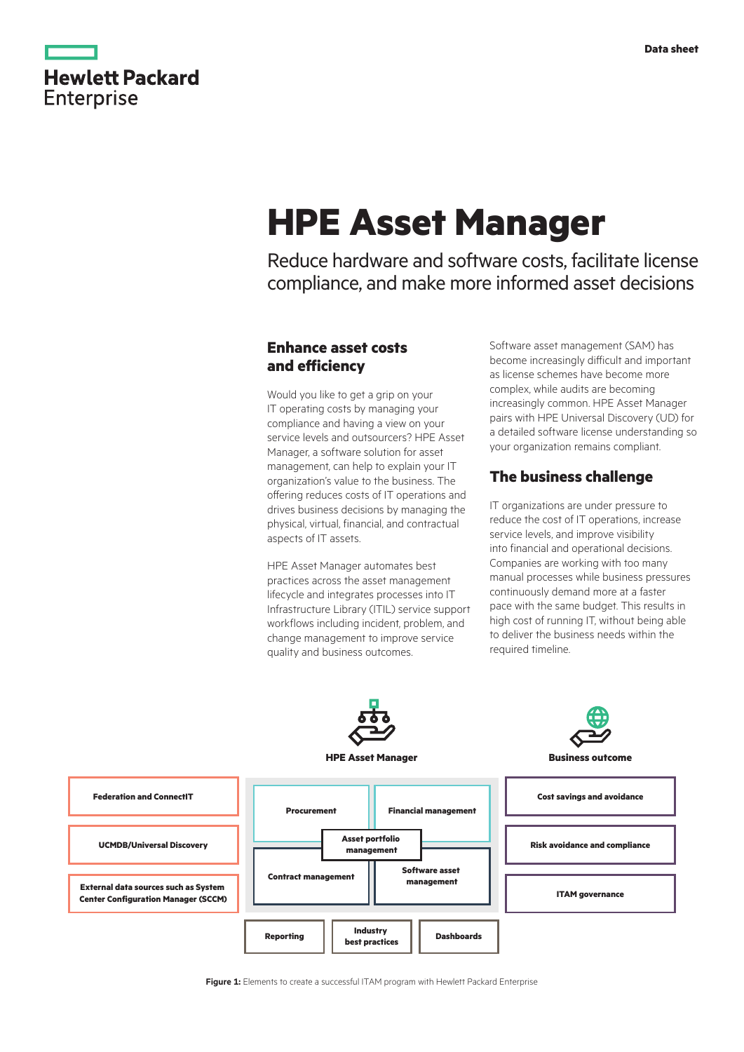# **Hewlett Packard Enterprise**

# **HPE Asset Manager**

Reduce hardware and software costs, facilitate license compliance, and make more informed asset decisions

# **Enhance asset costs and efficiency**

Would you like to get a grip on your IT operating costs by managing your compliance and having a view on your service levels and outsourcers? HPE Asset Manager, a software solution for asset management, can help to explain your IT organization's value to the business. The offering reduces costs of IT operations and drives business decisions by managing the physical, virtual, financial, and contractual aspects of IT assets.

HPE Asset Manager automates best practices across the asset management lifecycle and integrates processes into IT Infrastructure Library (ITIL) service support workflows including incident, problem, and change management to improve service quality and business outcomes.

Software asset management (SAM) has become increasingly difficult and important as license schemes have become more complex, while audits are becoming increasingly common. HPE Asset Manager pairs with HPE Universal Discovery (UD) for a detailed software license understanding so your organization remains compliant.

# **The business challenge**

IT organizations are under pressure to reduce the cost of IT operations, increase service levels, and improve visibility into financial and operational decisions. Companies are working with too many manual processes while business pressures continuously demand more at a faster pace with the same budget. This results in high cost of running IT, without being able to deliver the business needs within the required timeline.

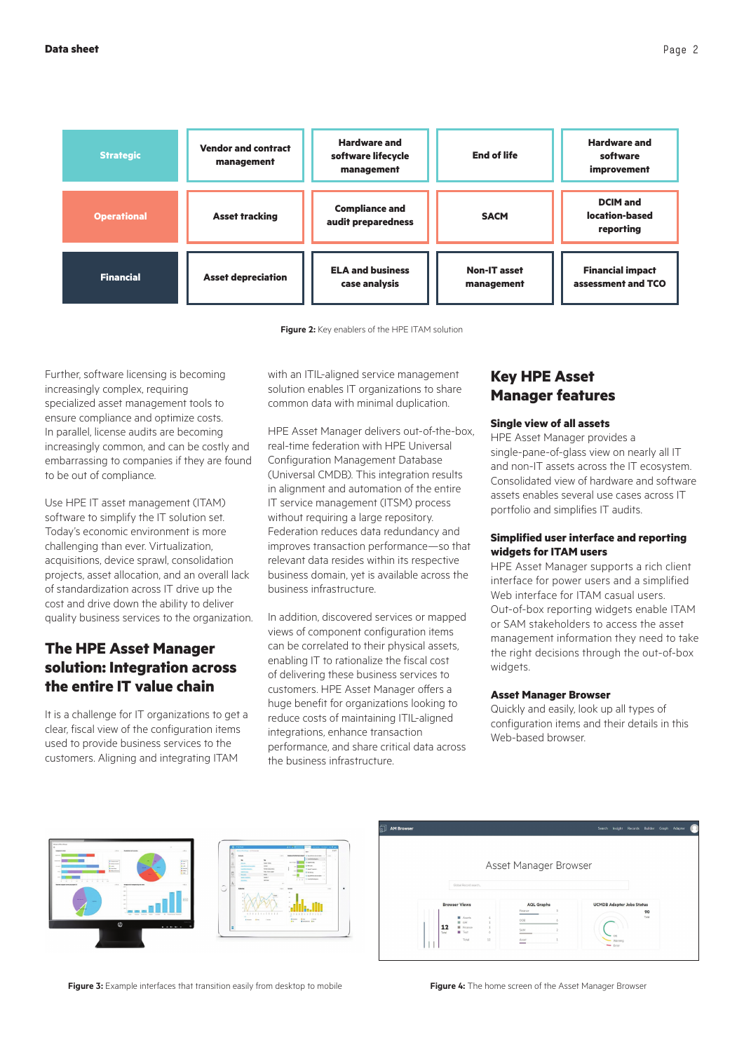

**Figure 2:** Key enablers of the HPE ITAM solution

Further, software licensing is becoming increasingly complex, requiring specialized asset management tools to ensure compliance and optimize costs. In parallel, license audits are becoming increasingly common, and can be costly and embarrassing to companies if they are found to be out of compliance.

Use HPE IT asset management (ITAM) software to simplify the IT solution set. Today's economic environment is more challenging than ever. Virtualization, acquisitions, device sprawl, consolidation projects, asset allocation, and an overall lack of standardization across IT drive up the cost and drive down the ability to deliver quality business services to the organization.

# **The HPE Asset Manager solution: Integration across the entire IT value chain**

It is a challenge for IT organizations to get a clear, fiscal view of the configuration items used to provide business services to the customers. Aligning and integrating ITAM

with an ITIL-aligned service management solution enables IT organizations to share common data with minimal duplication.

HPE Asset Manager delivers out-of-the-box, real-time federation with HPE Universal Configuration Management Database (Universal CMDB). This integration results in alignment and automation of the entire IT service management (ITSM) process without requiring a large repository. Federation reduces data redundancy and improves transaction performance—so that relevant data resides within its respective business domain, yet is available across the business infrastructure.

In addition, discovered services or mapped views of component configuration items can be correlated to their physical assets, enabling IT to rationalize the fiscal cost of delivering these business services to customers. HPE Asset Manager offers a huge benefit for organizations looking to reduce costs of maintaining ITIL-aligned integrations, enhance transaction performance, and share critical data across the business infrastructure.

### **Key HPE Asset Manager features**

#### **Single view of all assets**

HPE Asset Manager provides a single-pane-of-glass view on nearly all IT and non-IT assets across the IT ecosystem. Consolidated view of hardware and software assets enables several use cases across IT portfolio and simplifies IT audits.

#### **Simplified user interface and reporting widgets for ITAM users**

HPE Asset Manager supports a rich client interface for power users and a simplified Web interface for ITAM casual users. Out-of-box reporting widgets enable ITAM or SAM stakeholders to access the asset management information they need to take the right decisions through the out-of-box widgets.

#### **Asset Manager Browser**

Quickly and easily, look up all types of configuration items and their details in this Web-based browser.







**Figure 3:** Example interfaces that transition easily from desktop to mobile **Figure 4:** The home screen of the Asset Manager Browser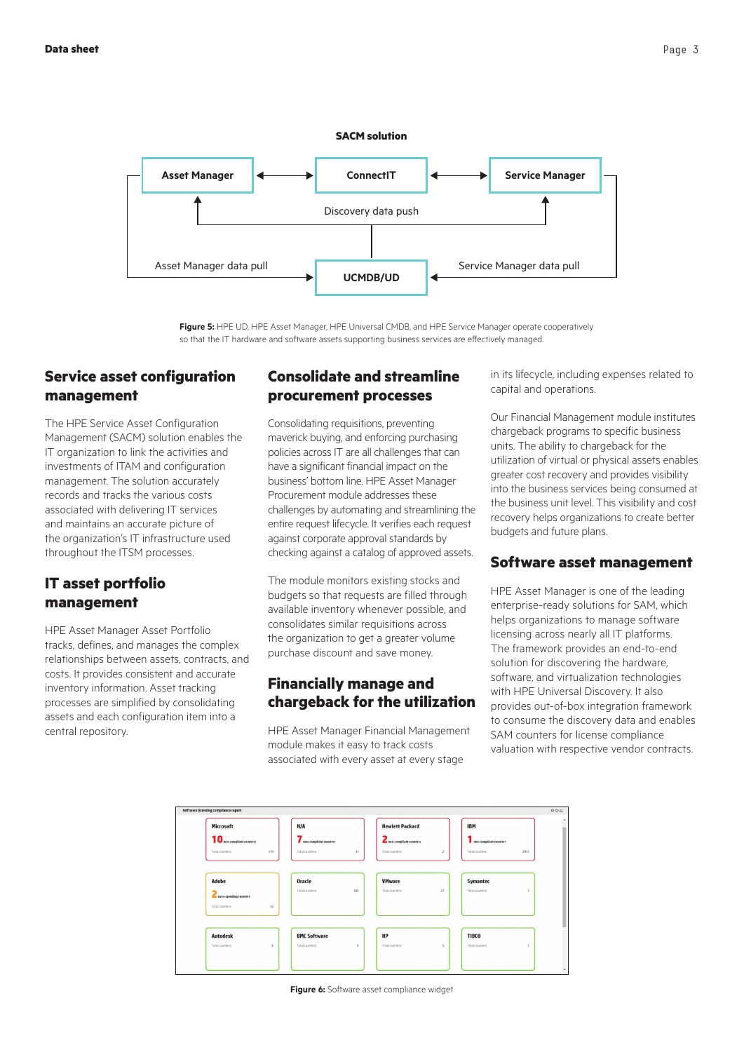

**Figure 5:** HPE UD, HPE Asset Manager, HPE Universal CMDB, and HPE Service Manager operate cooperatively so that the IT hardware and software assets supporting business services are effectively managed.

### **Service asset configuration management**

The HPE Service Asset Configuration Management (SACM) solution enables the IT organization to link the activities and investments of ITAM and configuration management. The solution accurately records and tracks the various costs associated with delivering IT services and maintains an accurate picture of the organization's IT infrastructure used throughout the ITSM processes.

# **IT asset portfolio management**

HPE Asset Manager Asset Portfolio tracks, defines, and manages the complex relationships between assets, contracts, and costs. It provides consistent and accurate inventory information. Asset tracking processes are simplified by consolidating assets and each configuration item into a central repository.

## **Consolidate and streamline procurement processes**

Consolidating requisitions, preventing maverick buying, and enforcing purchasing policies across IT are all challenges that can have a significant financial impact on the business' bottom line. HPE Asset Manager Procurement module addresses these challenges by automating and streamlining the entire request lifecycle. It verifies each request against corporate approval standards by checking against a catalog of approved assets.

The module monitors existing stocks and budgets so that requests are filled through available inventory whenever possible, and consolidates similar requisitions across the organization to get a greater volume purchase discount and save money.

#### **Financially manage and chargeback for the utilization**

HPE Asset Manager Financial Management module makes it easy to track costs associated with every asset at every stage

in its lifecycle, including expenses related to capital and operations.

Our Financial Management module institutes chargeback programs to specific business units. The ability to chargeback for the utilization of virtual or physical assets enables greater cost recovery and provides visibility into the business services being consumed at the business unit level. This visibility and cost recovery helps organizations to create better budgets and future plans.

#### **Software asset management**

HPE Asset Manager is one of the leading enterprise-ready solutions for SAM, which helps organizations to manage software licensing across nearly all IT platforms. The framework provides an end-to-end solution for discovering the hardware, software, and virtualization technologies with HPE Universal Discovery. It also provides out-of-box integration framework to consume the discovery data and enables SAM counters for license compliance valuation with respective vendor contracts.



**Figure 6:** Software asset compliance widget